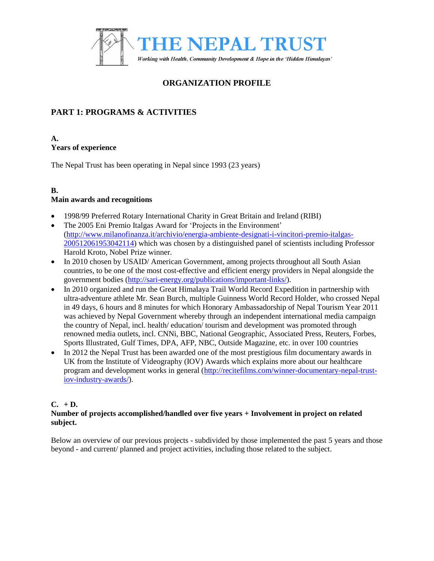

# **ORGANIZATION PROFILE**

# **PART 1: PROGRAMS & ACTIVITIES**

#### **A. Years of experience**

The Nepal Trust has been operating in Nepal since 1993 (23 years)

# **B.**

# **Main awards and recognitions**

- 1998/99 Preferred Rotary International Charity in Great Britain and Ireland (RIBI)
- The 2005 Eni Premio Italgas Award for 'Projects in the Environment' [\(http://www.milanofinanza.it/archivio/energia-ambiente-designati-i-vincitori-premio-italgas-](http://www.milanofinanza.it/archivio/energia-ambiente-designati-i-vincitori-premio-italgas-200512061953042114)[200512061953042114\)](http://www.milanofinanza.it/archivio/energia-ambiente-designati-i-vincitori-premio-italgas-200512061953042114) which was chosen by a distinguished panel of scientists including Professor Harold Kroto, Nobel Prize winner.
- In 2010 chosen by USAID/ American Government, among projects throughout all South Asian countries, to be one of the most cost-effective and efficient energy providers in Nepal alongside the government bodies [\(http://sari-energy.org/publications/important-links/\)](http://sari-energy.org/publications/important-links/).
- In 2010 organized and run the Great Himalaya Trail World Record Expedition in partnership with ultra-adventure athlete Mr. Sean Burch, multiple Guinness World Record Holder, who crossed Nepal in 49 days, 6 hours and 8 minutes for which Honorary Ambassadorship of Nepal Tourism Year 2011 was achieved by Nepal Government whereby through an independent international media campaign the country of Nepal, incl. health/ education/ tourism and development was promoted through renowned media outlets, incl. CNNi, BBC, National Geographic, Associated Press, Reuters, Forbes, Sports Illustrated, Gulf Times, DPA, AFP, NBC, Outside Magazine, etc. in over 100 countries
- In 2012 the Nepal Trust has been awarded one of the most prestigious film documentary awards in UK from the Institute of Videography (IOV) Awards which explains more about our healthcare program and development works in general [\(http://recitefilms.com/winner-documentary-nepal-trust](http://recitefilms.com/winner-documentary-nepal-trust-iov-industry-awards/)[iov-industry-awards/\)](http://recitefilms.com/winner-documentary-nepal-trust-iov-industry-awards/).

# $C. + D.$

#### **Number of projects accomplished/handled over five years + Involvement in project on related subject.**

Below an overview of our previous projects - subdivided by those implemented the past 5 years and those beyond - and current/ planned and project activities, including those related to the subject.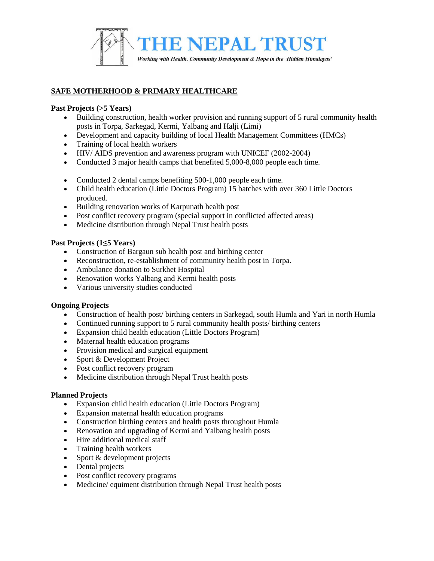

# **SAFE MOTHERHOOD & PRIMARY HEALTHCARE**

#### **Past Projects (>5 Years)**

- Building construction, health worker provision and running support of 5 rural community health posts in Torpa, Sarkegad, Kermi, Yalbang and Halji (Limi)
- Development and capacity building of local Health Management Committees (HMCs)
- Training of local health workers
- HIV/ AIDS prevention and awareness program with UNICEF (2002-2004)
- Conducted 3 major health camps that benefited 5,000-8,000 people each time.
- Conducted 2 dental camps benefiting 500-1,000 people each time.
- Child health education (Little Doctors Program) 15 batches with over 360 Little Doctors produced.
- Building renovation works of Karpunath health post
- Post conflict recovery program (special support in conflicted affected areas)
- Medicine distribution through Nepal Trust health posts

#### **Past Projects (1≤5 Years)**

- Construction of Bargaun sub health post and birthing center
- Reconstruction, re-establishment of community health post in Torpa.
- Ambulance donation to Surkhet Hospital
- Renovation works Yalbang and Kermi health posts
- Various university studies conducted

#### **Ongoing Projects**

- Construction of health post/ birthing centers in Sarkegad, south Humla and Yari in north Humla
- Continued running support to 5 rural community health posts/ birthing centers
- Expansion child health education (Little Doctors Program)
- Maternal health education programs
- Provision medical and surgical equipment
- Sport & Development Project
- Post conflict recovery program
- Medicine distribution through Nepal Trust health posts

- Expansion child health education (Little Doctors Program)
- Expansion maternal health education programs
- Construction birthing centers and health posts throughout Humla
- Renovation and upgrading of Kermi and Yalbang health posts
- Hire additional medical staff
- Training health workers
- Sport & development projects
- Dental projects
- Post conflict recovery programs
- Medicine/ equiment distribution through Nepal Trust health posts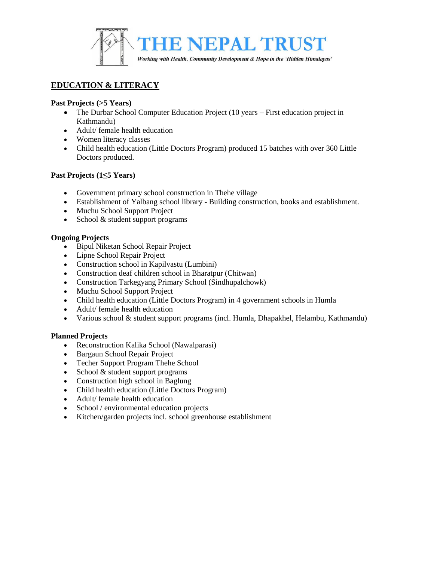

# **EDUCATION & LITERACY**

# **Past Projects (>5 Years)**

- The Durbar School Computer Education Project (10 years First education project in Kathmandu)
- Adult/ female health education
- Women literacy classes
- Child health education (Little Doctors Program) produced 15 batches with over 360 Little Doctors produced.

# **Past Projects (1≤5 Years)**

- Government primary school construction in Thehe village
- Establishment of Yalbang school library Building construction, books and establishment.
- Muchu School Support Project
- School & student support programs

# **Ongoing Projects**

- Bipul Niketan School Repair Project
- Lipne School Repair Project
- Construction school in Kapilvastu (Lumbini)
- Construction deaf children school in Bharatpur (Chitwan)
- Construction Tarkegyang Primary School (Sindhupalchowk)
- Muchu School Support Project
- Child health education (Little Doctors Program) in 4 government schools in Humla
- Adult/ female health education
- Various school & student support programs (incl. Humla, Dhapakhel, Helambu, Kathmandu)

- Reconstruction Kalika School (Nawalparasi)
- Bargaun School Repair Project
- Techer Support Program Thehe School
- $\bullet$  School & student support programs
- Construction high school in Baglung
- Child health education (Little Doctors Program)
- Adult/ female health education
- School / environmental education projects
- Kitchen/garden projects incl. school greenhouse establishment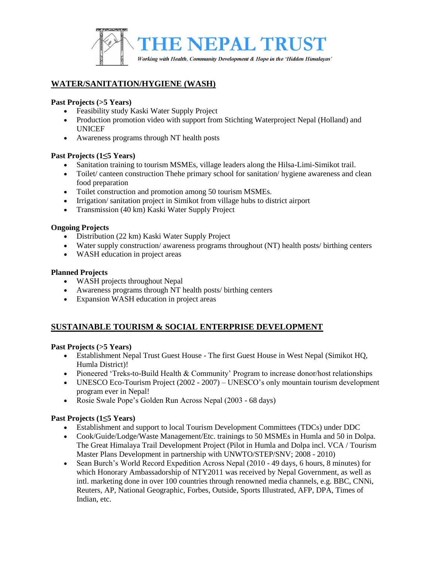

# **WATER/SANITATION/HYGIENE (WASH)**

#### **Past Projects (>5 Years)**

- Feasibility study Kaski Water Supply Project
- Production promotion video with support from Stichting Waterproject Nepal (Holland) and UNICEF
- Awareness programs through NT health posts

#### **Past Projects (1≤5 Years)**

- Sanitation training to tourism MSMEs, village leaders along the Hilsa-Limi-Simikot trail.
- Toilet/ canteen construction Thehe primary school for sanitation/ hygiene awareness and clean food preparation
- Toilet construction and promotion among 50 tourism MSMEs.
- Irrigation/ sanitation project in Simikot from village hubs to district airport
- Transmission (40 km) Kaski Water Supply Project

#### **Ongoing Projects**

- Distribution (22 km) Kaski Water Supply Project
- Water supply construction/ awareness programs throughout (NT) health posts/ birthing centers
- WASH education in project areas

#### **Planned Projects**

- WASH projects throughout Nepal
- Awareness programs through NT health posts/ birthing centers
- Expansion WASH education in project areas

# **SUSTAINABLE TOURISM & SOCIAL ENTERPRISE DEVELOPMENT**

#### **Past Projects (>5 Years)**

- Establishment Nepal Trust Guest House The first Guest House in West Nepal (Simikot HQ, Humla District)!
- Pioneered 'Treks-to-Build Health & Community' Program to increase donor/host relationships
- UNESCO Eco-Tourism Project (2002 2007) UNESCO's only mountain tourism development program ever in Nepal!
- Rosie Swale Pope's Golden Run Across Nepal (2003 68 days)

# **Past Projects (1≤5 Years)**

- Establishment and support to local Tourism Development Committees (TDCs) under DDC
- Cook/Guide/Lodge/Waste Management/Etc. trainings to 50 MSMEs in Humla and 50 in Dolpa. The Great Himalaya Trail Development Project (Pilot in Humla and Dolpa incl. VCA / Tourism Master Plans Development in partnership with UNWTO/STEP/SNV; 2008 - 2010)
- Sean Burch's World Record Expedition Across Nepal (2010 49 days, 6 hours, 8 minutes) for which Honorary Ambassadorship of NTY2011 was received by Nepal Government, as well as intl. marketing done in over 100 countries through renowned media channels, e.g. BBC, CNNi, Reuters, AP, National Geographic, Forbes, Outside, Sports Illustrated, AFP, DPA, Times of Indian, etc.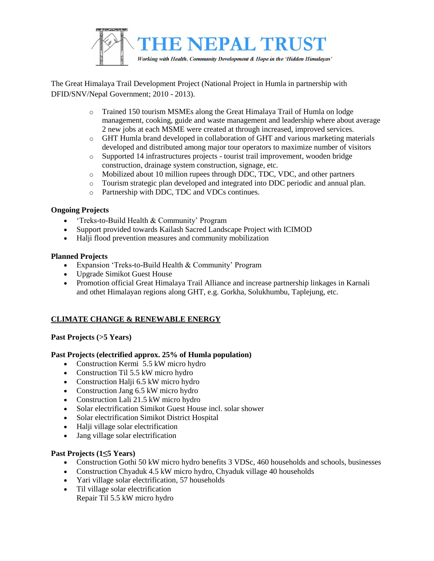

The Great Himalaya Trail Development Project (National Project in Humla in partnership with DFID/SNV/Nepal Government; 2010 - 2013).

- o Trained 150 tourism MSMEs along the Great Himalaya Trail of Humla on lodge management, cooking, guide and waste management and leadership where about average 2 new jobs at each MSME were created at through increased, improved services.
- o GHT Humla brand developed in collaboration of GHT and various marketing materials developed and distributed among major tour operators to maximize number of visitors
- o Supported 14 infrastructures projects tourist trail improvement, wooden bridge construction, drainage system construction, signage, etc.
- o Mobilized about 10 million rupees through DDC, TDC, VDC, and other partners
- o Tourism strategic plan developed and integrated into DDC periodic and annual plan.
- o Partnership with DDC, TDC and VDCs continues.

#### **Ongoing Projects**

- 'Treks-to-Build Health & Community' Program
- Support provided towards Kailash Sacred Landscape Project with ICIMOD
- Halji flood prevention measures and community mobilization

#### **Planned Projects**

- Expansion 'Treks-to-Build Health & Community' Program
- Upgrade Simikot Guest House
- Promotion official Great Himalaya Trail Alliance and increase partnership linkages in Karnali and othet Himalayan regions along GHT, e.g. Gorkha, Solukhumbu, Taplejung, etc.

# **CLIMATE CHANGE & RENEWABLE ENERGY**

# **Past Projects (>5 Years)**

#### **Past Projects (electrified approx. 25% of Humla population)**

- Construction Kermi 5.5 kW micro hydro
- Construction Til 5.5 kW micro hydro
- Construction Halji 6.5 kW micro hydro
- Construction Jang 6.5 kW micro hydro
- Construction Lali 21.5 kW micro hydro
- Solar electrification Simikot Guest House incl. solar shower
- Solar electrification Simikot District Hospital
- Halji village solar electrification
- Jang village solar electrification

#### **Past Projects (1≤5 Years)**

- Construction Gothi 50 kW micro hydro benefits 3 VDSc, 460 households and schools, businesses
- Construction Chyaduk 4.5 kW micro hydro, Chyaduk village 40 households
- Yari village solar electrification, 57 households
- Til village solar electrification Repair Til 5.5 kW micro hydro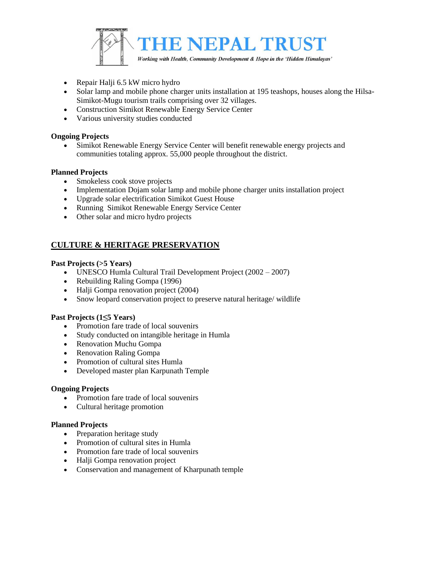

- Repair Halji 6.5 kW micro hydro
- Solar lamp and mobile phone charger units installation at 195 teashops, houses along the Hilsa-Simikot-Mugu tourism trails comprising over 32 villages.
- Construction Simikot Renewable Energy Service Center
- Various university studies conducted

#### **Ongoing Projects**

 Simikot Renewable Energy Service Center will benefit renewable energy projects and communities totaling approx. 55,000 people throughout the district.

#### **Planned Projects**

- Smokeless cook stove projects
- Implementation Dojam solar lamp and mobile phone charger units installation project
- Upgrade solar electrification Simikot Guest House
- Running Simikot Renewable Energy Service Center
- Other solar and micro hydro projects

# **CULTURE & HERITAGE PRESERVATION**

#### **Past Projects (>5 Years)**

- UNESCO Humla Cultural Trail Development Project (2002 2007)
- Rebuilding Raling Gompa (1996)
- Halji Gompa renovation project (2004)
- Snow leopard conservation project to preserve natural heritage/ wildlife

#### **Past Projects (1≤5 Years)**

- Promotion fare trade of local souvenirs
- Study conducted on intangible heritage in Humla
- Renovation Muchu Gompa
- Renovation Raling Gompa
- Promotion of cultural sites Humla
- Developed master plan Karpunath Temple

#### **Ongoing Projects**

- Promotion fare trade of local souvenirs
- Cultural heritage promotion

- Preparation heritage study
- Promotion of cultural sites in Humla
- Promotion fare trade of local souvenirs
- Halji Gompa renovation project
- Conservation and management of Kharpunath temple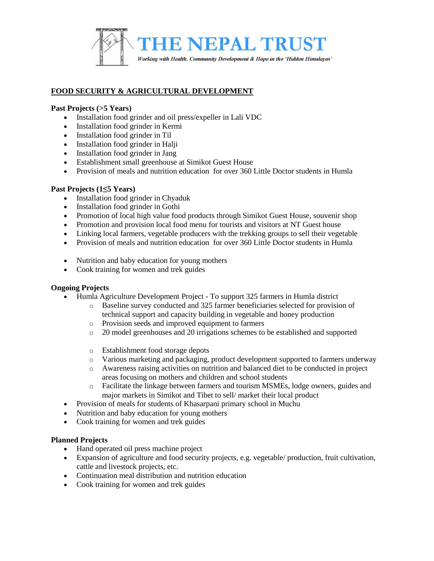

# **FOOD SECURITY & AGRICULTURAL DEVELOPMENT**

#### **Past Projects (>5 Years)**

- Installation food grinder and oil press/expeller in Lali VDC
- Installation food grinder in Kermi
- Installation food grinder in Til
- Installation food grinder in Halji
- Installation food grinder in Jang
- Establishment small greenhouse at Simikot Guest House
- Provision of meals and nutrition education for over 360 Little Doctor students in Humla

# **Past Projects (1≤5 Years)**

- Installation food grinder in Chyaduk
- Installation food grinder in Gothi
- Promotion of local high value food products through Simikot Guest House, souvenir shop
- Promotion and provision local food menu for tourists and visitors at NT Guest house
- Linking local farmers, vegetable producers with the trekking groups to sell their vegetable
- Provision of meals and nutrition education for over 360 Little Doctor students in Humla
- Nutrition and baby education for young mothers
- Cook training for women and trek guides

# **Ongoing Projects**

- Humla Agriculture Development Project To support 325 farmers in Humla district
	- o Baseline survey conducted and 325 farmer beneficiaries selected for provision of technical support and capacity building in vegetable and honey production
	- o Provision seeds and improved equipment to farmers
	- o 20 model greenhouses and 20 irrigations schemes to be established and supported
	- o Establishment food storage depots
	- o Various marketing and packaging, product development supported to farmers underway
	- o Awareness raising activities on nutrition and balanced diet to be conducted in project areas focusing on mothers and children and school students
	- o Facilitate the linkage between farmers and tourism MSMEs, lodge owners, guides and major markets in Simikot and Tibet to sell/ market their local product
- Provision of meals for students of Khasarpani primary school in Muchu
- Nutrition and baby education for young mothers
- Cook training for women and trek guides

- Hand operated oil press machine project
- Expansion of agriculture and food security projects, e.g. vegetable/ production, fruit cultivation, cattle and livestock projects, etc.
- Continuation meal distribution and nutrition education
- Cook training for women and trek guides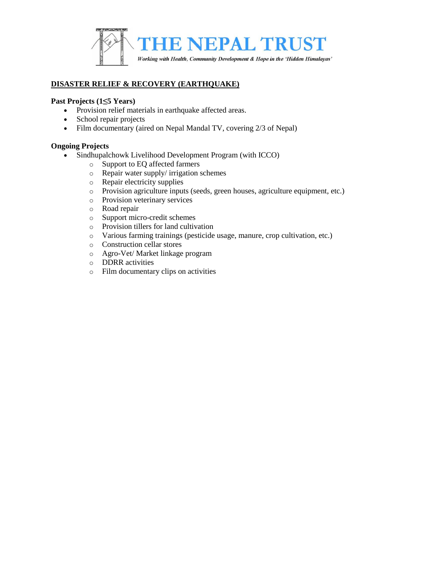

# **DISASTER RELIEF & RECOVERY (EARTHQUAKE)**

#### **Past Projects (1≤5 Years)**

- Provision relief materials in earthquake affected areas.
- School repair projects
- Film documentary (aired on Nepal Mandal TV, covering 2/3 of Nepal)

#### **Ongoing Projects**

- Sindhupalchowk Livelihood Development Program (with ICCO)
	- o Support to EQ affected farmers
	- o Repair water supply/ irrigation schemes
	- o Repair electricity supplies
	- o Provision agriculture inputs (seeds, green houses, agriculture equipment, etc.)
	- o Provision veterinary services
	- o Road repair
	- o Support micro-credit schemes
	- o Provision tillers for land cultivation
	- o Various farming trainings (pesticide usage, manure, crop cultivation, etc.)
	- o Construction cellar stores
	- o Agro-Vet/ Market linkage program
	- o DDRR activities
	- o Film documentary clips on activities